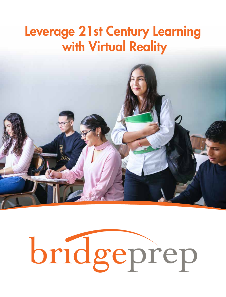#### Leverage 21st Century Learning with Virtual Reality



# bridgeprep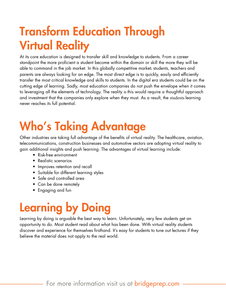### Transform Education Through Virtual Reality

At its core education is designed to transfer skill and knowledge to students. From a career standpoint the more proficient a student become within the domain or skill the more they will be able to command in the job market. In this globally competitive market; students, teachers and parents are always looking for an edge. The most direct edge is to quickly, easily and efficiently transfer the most critical knowledge and skills to students. In the digital era students could be on the cutting edge of learning. Sadly, most education companies do not push the envelope when it comes to leveraging all the elements of technology. The reality is this would require a thoughtful approach and investment that the companies only explore when they must. As a result, the students learning never reaches its full potential.

# Who's Taking Advantage

Other industries are taking full advantage of the benefits of virtual reality. The healthcare, aviation, telecommunications, construction businesses and automotive sectors are adopting virtual reality to gain additional insights and push learning. The advantages of virtual learning include:

- Risk-free environment
- Realistic scenarios
- Improves retention and recall
- Suitable for different learning styles
- Safe and controlled area
- Can be done remotely
- Engaging and fun

#### Learning by Doing

Learning by doing is arguable the best way to learn. Unfortunately, very few students get an opportunity to do. Most student read about what has been done. With virtual reality students discover and experience for themselves firsthand. It's easy for students to tune out lectures if they believe the material does not apply to the real world.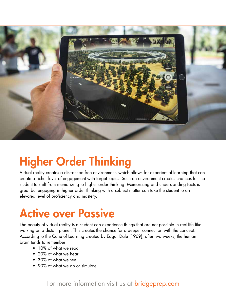

#### Higher Order Thinking

Virtual reality creates a distraction free environment, which allows for experiential learning that can create a richer level of engagement with target topics. Such an environment creates chances for the student to shift from memorizing to higher order thinking. Memorizing and understanding facts is great but engaging in higher order thinking with a subject matter can take the student to an elevated level of proficiency and mastery.

#### Active over Passive

The beauty of virtual reality is a student can experience things that are not possible in real-life like walking on a distant planet. This creates the chance for a deeper connection with the concept. According to the Cone of Learning created by Edgar Dale (1969), after two weeks, the human brain tends to remember:

- 10% of what we read
- 20% of what we hear
- 30% of what we see
- 90% of what we do or simulate